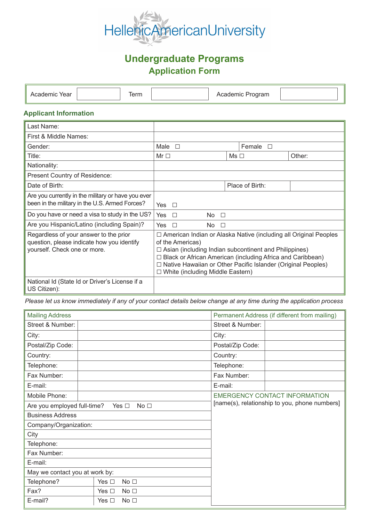

# **Undergraduate Programs Application Form**

| م د<br>ear | $ -$<br>$1$ ei $111$ | <br>$\cdots$ |  |
|------------|----------------------|--------------|--|

### **Applicant Information**

| Last Name:                                                                                                           |                                                                                                                                                                                                                                                                                                                                          |                  |        |
|----------------------------------------------------------------------------------------------------------------------|------------------------------------------------------------------------------------------------------------------------------------------------------------------------------------------------------------------------------------------------------------------------------------------------------------------------------------------|------------------|--------|
| First & Middle Names:                                                                                                |                                                                                                                                                                                                                                                                                                                                          |                  |        |
| Gender:                                                                                                              | Male<br>$\Box$                                                                                                                                                                                                                                                                                                                           | Female $\square$ |        |
| Title:                                                                                                               | Mr $\Box$                                                                                                                                                                                                                                                                                                                                | $Ms \Box$        | Other: |
| Nationality:                                                                                                         |                                                                                                                                                                                                                                                                                                                                          |                  |        |
| Present Country of Residence:                                                                                        |                                                                                                                                                                                                                                                                                                                                          |                  |        |
| Date of Birth:                                                                                                       |                                                                                                                                                                                                                                                                                                                                          | Place of Birth:  |        |
| Are you currently in the military or have you ever<br>been in the military in the U.S. Armed Forces?                 | Yes $\Box$                                                                                                                                                                                                                                                                                                                               |                  |        |
| Do you have or need a visa to study in the US?                                                                       | Yes $\Box$<br>$No$ $\Box$                                                                                                                                                                                                                                                                                                                |                  |        |
| Are you Hispanic/Latino (including Spain)?                                                                           | Yes<br>$No$ $\Box$<br>$\Box$                                                                                                                                                                                                                                                                                                             |                  |        |
| Regardless of your answer to the prior<br>question, please indicate how you identify<br>yourself. Check one or more. | □ American Indian or Alaska Native (including all Original Peoples<br>of the Americas)<br>$\Box$ Asian (including Indian subcontinent and Philippines)<br>$\Box$ Black or African American (including Africa and Caribbean)<br>□ Native Hawaiian or Other Pacific Islander (Original Peoples)<br>$\Box$ White (including Middle Eastern) |                  |        |
| National Id (State Id or Driver's License if a<br>US Citizen):                                                       |                                                                                                                                                                                                                                                                                                                                          |                  |        |

*Please let us know immediately if any of your contact details below change at any time during the application process* 

| <b>Mailing Address</b>         |                                  | Permanent Address (if different from mailing)                                         |  |  |
|--------------------------------|----------------------------------|---------------------------------------------------------------------------------------|--|--|
| Street & Number:               |                                  | Street & Number:                                                                      |  |  |
| City:                          |                                  | City:                                                                                 |  |  |
| Postal/Zip Code:               |                                  | Postal/Zip Code:                                                                      |  |  |
| Country:                       |                                  | Country:                                                                              |  |  |
| Telephone:                     |                                  | Telephone:                                                                            |  |  |
| Fax Number:                    |                                  | Fax Number:                                                                           |  |  |
| E-mail:                        |                                  | E-mail:                                                                               |  |  |
| Mobile Phone:                  |                                  | <b>EMERGENCY CONTACT INFORMATION</b><br>[name(s), relationship to you, phone numbers] |  |  |
| Are you employed full-time?    | No <sub>1</sub><br>Yes $\square$ |                                                                                       |  |  |
| <b>Business Address</b>        |                                  |                                                                                       |  |  |
| Company/Organization:          |                                  |                                                                                       |  |  |
| City                           |                                  |                                                                                       |  |  |
| Telephone:                     |                                  |                                                                                       |  |  |
| Fax Number:                    |                                  |                                                                                       |  |  |
| E-mail:                        |                                  |                                                                                       |  |  |
| May we contact you at work by: |                                  |                                                                                       |  |  |
| Telephone?                     | No <sub>1</sub><br>Yes $\Box$    |                                                                                       |  |  |
| Fax?                           | Yes $\Box$<br>No <sub>1</sub>    |                                                                                       |  |  |
| E-mail?                        | No <sub>1</sub><br>Yes $\square$ |                                                                                       |  |  |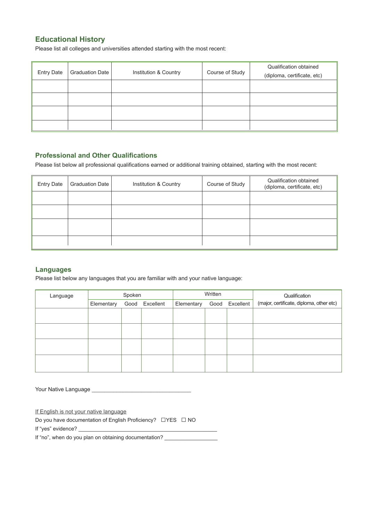### **Educational History**

Please list all colleges and universities attended starting with the most recent:

| <b>Entry Date</b> | <b>Graduation Date</b> | Institution & Country | Course of Study | Qualification obtained<br>(diploma, certificate, etc) |
|-------------------|------------------------|-----------------------|-----------------|-------------------------------------------------------|
|                   |                        |                       |                 |                                                       |
|                   |                        |                       |                 |                                                       |
|                   |                        |                       |                 |                                                       |
|                   |                        |                       |                 |                                                       |

### **Professional and Other Qualifications**

Please list below all professional qualifications earned or additional training obtained, starting with the most recent:

| <b>Entry Date</b> | Graduation Date | Institution & Country | Course of Study | Qualification obtained<br>(diploma, certificate, etc) |
|-------------------|-----------------|-----------------------|-----------------|-------------------------------------------------------|
|                   |                 |                       |                 |                                                       |
|                   |                 |                       |                 |                                                       |
|                   |                 |                       |                 |                                                       |
|                   |                 |                       |                 |                                                       |

### **Languages**

Please list below any languages that you are familiar with and your native language:

| Language | Spoken     |  |                | Written    |      |           | Qualification                            |
|----------|------------|--|----------------|------------|------|-----------|------------------------------------------|
|          | Elementary |  | Good Excellent | Elementary | Good | Excellent | (major, certificate, diploma, other etc) |
|          |            |  |                |            |      |           |                                          |
|          |            |  |                |            |      |           |                                          |
|          |            |  |                |            |      |           |                                          |
|          |            |  |                |            |      |           |                                          |

Your Native Language \_

If English is not your native language

Do you have documentation of English Proficiency?  $\Box$ YES  $\Box$  NO

If "yes" evidence? \_\_\_\_\_\_\_\_\_\_\_\_\_\_\_\_\_\_\_\_\_\_\_\_\_\_\_\_\_\_\_\_\_\_\_\_\_\_\_\_\_\_\_\_\_\_\_

If "no", when do you plan on obtaining documentation?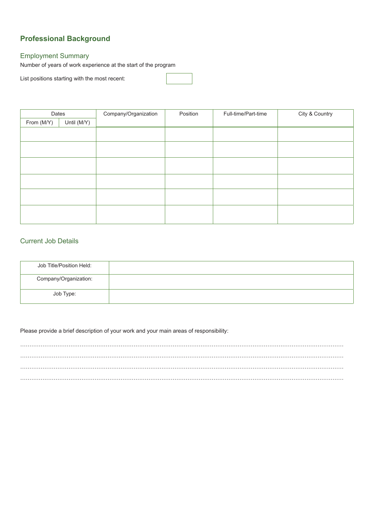## **Professional Background**

### Employment Summary

Number of years of work experience at the start of the program

List positions starting with the most recent:

| Dates      |             | Company/Organization |  | Full-time/Part-time | City & Country |
|------------|-------------|----------------------|--|---------------------|----------------|
| From (M/Y) | Until (M/Y) |                      |  |                     |                |
|            |             |                      |  |                     |                |
|            |             |                      |  |                     |                |
|            |             |                      |  |                     |                |
|            |             |                      |  |                     |                |
|            |             |                      |  |                     |                |
|            |             |                      |  |                     |                |
|            |             |                      |  |                     |                |
|            |             |                      |  |                     |                |
|            |             |                      |  |                     |                |
|            |             |                      |  |                     |                |
|            |             |                      |  |                     |                |

### Current Job Details

| Job Title/Position Held: |  |
|--------------------------|--|
| Company/Organization:    |  |
| Job Type:                |  |

Please provide a brief description of your work and your main areas of responsibility:

………………………………………………………………………………………………………………………………………………………… ………………………………………………………………………………………………………………………………………………………… …………………………………………………………………………………………………………………………………………………………